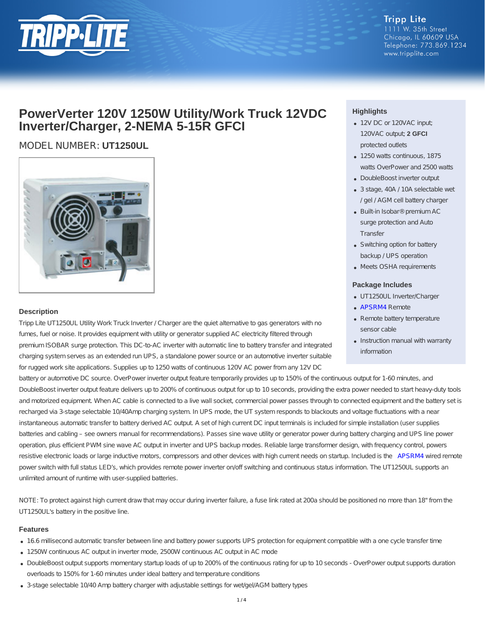

**Tripp Lite** 1111 W. 35th Street Chicago, IL 60609 USA Telephone: 773.869.1234 www.tripplite.com

## **PowerVerter 120V 1250W Utility/Work Truck 12VDC Inverter/Charger, 2-NEMA 5-15R GFCI**

### MODEL NUMBER: **UT1250UL**



#### **Description**

Tripp Lite UT1250UL Utility Work Truck Inverter / Charger are the quiet alternative to gas generators with no fumes, fuel or noise. It provides equipment with utility or generator supplied AC electricity filtered through premium ISOBAR surge protection. This DC-to-AC inverter with automatic line to battery transfer and integrated charging system serves as an extended run UPS, a standalone power source or an automotive inverter suitable for rugged work site applications. Supplies up to 1250 watts of continuous 120V AC power from any 12V DC

battery or automotive DC source. OverPower inverter output feature temporarily provides up to 150% of the continuous output for 1-60 minutes, and DoubleBoost inverter output feature delivers up to 200% of continuous output for up to 10 seconds, providing the extra power needed to start heavy-duty tools and motorized equipment. When AC cable is connected to a live wall socket, commercial power passes through to connected equipment and the battery set is recharged via 3-stage selectable 10/40Amp charging system. In UPS mode, the UT system responds to blackouts and voltage fluctuations with a near instantaneous automatic transfer to battery derived AC output. A set of high current DC input terminals is included for simple installation (user supplies batteries and cabling – see owners manual for recommendations). Passes sine wave utility or generator power during battery charging and UPS line power operation, plus efficient PWM sine wave AC output in inverter and UPS backup modes. Reliable large transformer design, with frequency control, powers resistive electronic loads or large inductive motors, compressors and other devices with high current needs on startup. Included is the [APSRM4](http://www.tripplite.com/Remote-Control-Module-Tripp-Lite-PowerVerter-Inverters-Inverter-Chargers~APSRM4) wired remote power switch with full status LED's, which provides remote power inverter on/off switching and continuous status information. The UT1250UL supports an unlimited amount of runtime with user-supplied batteries.

NOTE: To protect against high current draw that may occur during inverter failure, a fuse link rated at 200a should be positioned no more than 18" from the UT1250UL's battery in the positive line.

#### **Features**

- 16.6 millisecond automatic transfer between line and battery power supports UPS protection for equipment compatible with a one cycle transfer time
- 1250W continuous AC output in inverter mode, 2500W continuous AC output in AC mode
- DoubleBoost output supports momentary startup loads of up to 200% of the continuous rating for up to 10 seconds OverPower output supports duration overloads to 150% for 1-60 minutes under ideal battery and temperature conditions
- 3-stage selectable 10/40 Amp battery charger with adjustable settings for wet/gel/AGM battery types

#### **Highlights**

- 12V DC or 120VAC input; 120VAC output; **2 GFCI** protected outlets
- 1250 watts continuous, 1875 watts OverPower and 2500 watts
- DoubleBoost inverter output
- 3 stage, 40A / 10A selectable wet / gel / AGM cell battery charger
- Built-in Isobar® premium AC surge protection and Auto **Transfer**
- Switching option for battery backup / UPS operation
- Meets OSHA requirements

#### **Package Includes**

- UT1250UL Inverter/Charger
- [APSRM4](http://www.tripplite.com/Remote-Control-Module-Tripp-Lite-PowerVerter-Inverters-Inverter-Chargers~APSRM4) Remote
- Remote battery temperature sensor cable
- Instruction manual with warranty information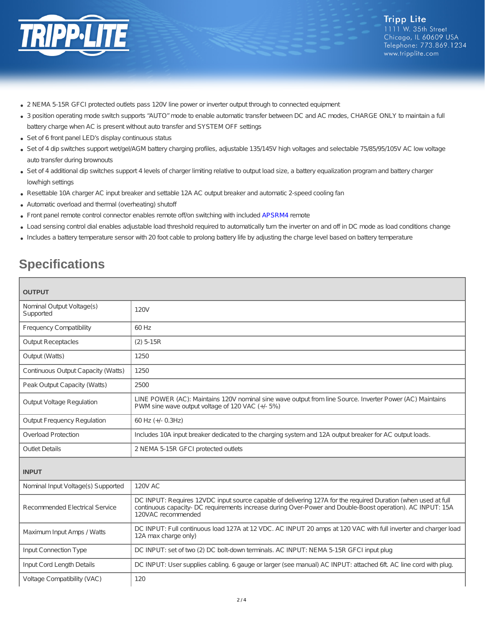

- 2 NEMA 5-15R GFCI protected outlets pass 120V line power or inverter output through to connected equipment
- 3 position operating mode switch supports "AUTO" mode to enable automatic transfer between DC and AC modes, CHARGE ONLY to maintain a full battery charge when AC is present without auto transfer and SYSTEM OFF settings
- Set of 6 front panel LED's display continuous status
- Set of 4 dip switches support wet/gel/AGM battery charging profiles, adjustable 135/145V high voltages and selectable 75/85/95/105V AC low voltage auto transfer during brownouts
- Set of 4 additional dip switches support 4 levels of charger limiting relative to output load size, a battery equalization program and battery charger low/high settings
- Resettable 10A charger AC input breaker and settable 12A AC output breaker and automatic 2-speed cooling fan
- Automatic overload and thermal (overheating) shutoff
- Front panel remote control connector enables remote off/on switching with included [APSRM4](http://www.tripplite.com/Remote-Control-Module-Tripp-Lite-PowerVerter-Inverters-Inverter-Chargers~APSRM4) remote
- Load sensing control dial enables adjustable load threshold required to automatically turn the inverter on and off in DC mode as load conditions change
- Includes a battery temperature sensor with 20 foot cable to prolong battery life by adjusting the charge level based on battery temperature

# **Specifications**

| <b>OUTPUT</b>                          |                                                                                                                                                                                                                                                   |  |
|----------------------------------------|---------------------------------------------------------------------------------------------------------------------------------------------------------------------------------------------------------------------------------------------------|--|
| Nominal Output Voltage(s)<br>Supported | 120V                                                                                                                                                                                                                                              |  |
| <b>Frequency Compatibility</b>         | 60 Hz                                                                                                                                                                                                                                             |  |
| <b>Output Receptacles</b>              | $(2)$ 5-15R                                                                                                                                                                                                                                       |  |
| Output (Watts)                         | 1250                                                                                                                                                                                                                                              |  |
| Continuous Output Capacity (Watts)     | 1250                                                                                                                                                                                                                                              |  |
| Peak Output Capacity (Watts)           | 2500                                                                                                                                                                                                                                              |  |
| <b>Output Voltage Regulation</b>       | LINE POWER (AC): Maintains 120V nominal sine wave output from line Source. Inverter Power (AC) Maintains<br>PWM sine wave output voltage of 120 VAC (+/- 5%)                                                                                      |  |
| <b>Output Frequency Regulation</b>     | 60 Hz (+/- 0.3Hz)                                                                                                                                                                                                                                 |  |
| <b>Overload Protection</b>             | Includes 10A input breaker dedicated to the charging system and 12A output breaker for AC output loads.                                                                                                                                           |  |
| <b>Outlet Details</b>                  | 2 NEMA 5-15R GFCI protected outlets                                                                                                                                                                                                               |  |
| <b>INPUT</b>                           |                                                                                                                                                                                                                                                   |  |
| Nominal Input Voltage(s) Supported     | <b>120V AC</b>                                                                                                                                                                                                                                    |  |
| Recommended Electrical Service         | DC INPUT: Requires 12VDC input source capable of delivering 127A for the required Duration (when used at full<br>continuous capacity- DC requirements increase during Over-Power and Double-Boost operation). AC INPUT: 15A<br>120VAC recommended |  |
| Maximum Input Amps / Watts             | DC INPUT: Full continuous load 127A at 12 VDC. AC INPUT 20 amps at 120 VAC with full inverter and charger load<br>12A max charge only)                                                                                                            |  |
| <b>Input Connection Type</b>           | DC INPUT: set of two (2) DC bolt-down terminals. AC INPUT: NEMA 5-15R GFCI input plug                                                                                                                                                             |  |
| Input Cord Length Details              | DC INPUT: User supplies cabling. 6 gauge or larger (see manual) AC INPUT: attached 6ft. AC line cord with plug.                                                                                                                                   |  |
| Voltage Compatibility (VAC)            | 120                                                                                                                                                                                                                                               |  |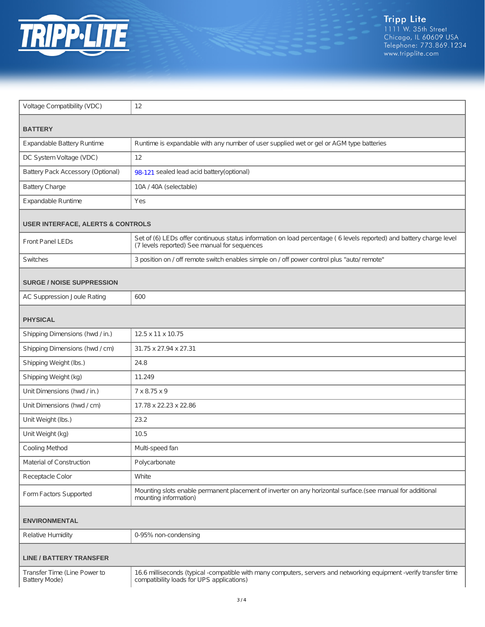

| Voltage Compatibility (VDC)                          | 12                                                                                                                                                                  |  |
|------------------------------------------------------|---------------------------------------------------------------------------------------------------------------------------------------------------------------------|--|
| <b>BATTERY</b>                                       |                                                                                                                                                                     |  |
| Expandable Battery Runtime                           | Runtime is expandable with any number of user supplied wet or gel or AGM type batteries                                                                             |  |
| DC System Voltage (VDC)                              | 12                                                                                                                                                                  |  |
| Battery Pack Accessory (Optional)                    | 98-121 sealed lead acid battery(optional)                                                                                                                           |  |
| <b>Battery Charge</b>                                | 10A / 40A (selectable)                                                                                                                                              |  |
| Expandable Runtime                                   | Yes                                                                                                                                                                 |  |
| <b>USER INTERFACE, ALERTS &amp; CONTROLS</b>         |                                                                                                                                                                     |  |
| <b>Front Panel LEDs</b>                              | Set of (6) LEDs offer continuous status information on load percentage (6 levels reported) and battery charge level<br>(7 levels reported) See manual for sequences |  |
| Switches                                             | 3 position on / off remote switch enables simple on / off power control plus "auto/ remote"                                                                         |  |
| <b>SURGE / NOISE SUPPRESSION</b>                     |                                                                                                                                                                     |  |
| <b>AC Suppression Joule Rating</b>                   | 600                                                                                                                                                                 |  |
| <b>PHYSICAL</b>                                      |                                                                                                                                                                     |  |
| Shipping Dimensions (hwd / in.)                      | 12.5 x 11 x 10.75                                                                                                                                                   |  |
| Shipping Dimensions (hwd / cm)                       | 31.75 x 27.94 x 27.31                                                                                                                                               |  |
| Shipping Weight (lbs.)                               | 24.8                                                                                                                                                                |  |
| Shipping Weight (kg)                                 | 11.249                                                                                                                                                              |  |
| Unit Dimensions (hwd / in.)                          | 7 x 8.75 x 9                                                                                                                                                        |  |
| Unit Dimensions (hwd / cm)                           | 17.78 x 22.23 x 22.86                                                                                                                                               |  |
| Unit Weight (lbs.)                                   | 23.2                                                                                                                                                                |  |
| Unit Weight (kg)                                     | 10.5                                                                                                                                                                |  |
| <b>Cooling Method</b>                                | Multi-speed fan                                                                                                                                                     |  |
| Material of Construction                             | Polycarbonate                                                                                                                                                       |  |
| Receptacle Color                                     | White                                                                                                                                                               |  |
| Form Factors Supported                               | Mounting slots enable permanent placement of inverter on any horizontal surface.(see manual for additional<br>mounting information)                                 |  |
| <b>ENVIRONMENTAL</b>                                 |                                                                                                                                                                     |  |
| <b>Relative Humidity</b>                             | 0-95% non-condensing                                                                                                                                                |  |
| <b>LINE / BATTERY TRANSFER</b>                       |                                                                                                                                                                     |  |
| Transfer Time (Line Power to<br><b>Battery Mode)</b> | 16.6 milliseconds (typical -compatible with many computers, servers and networking equipment -verify transfer time<br>compatibility loads for UPS applications)     |  |